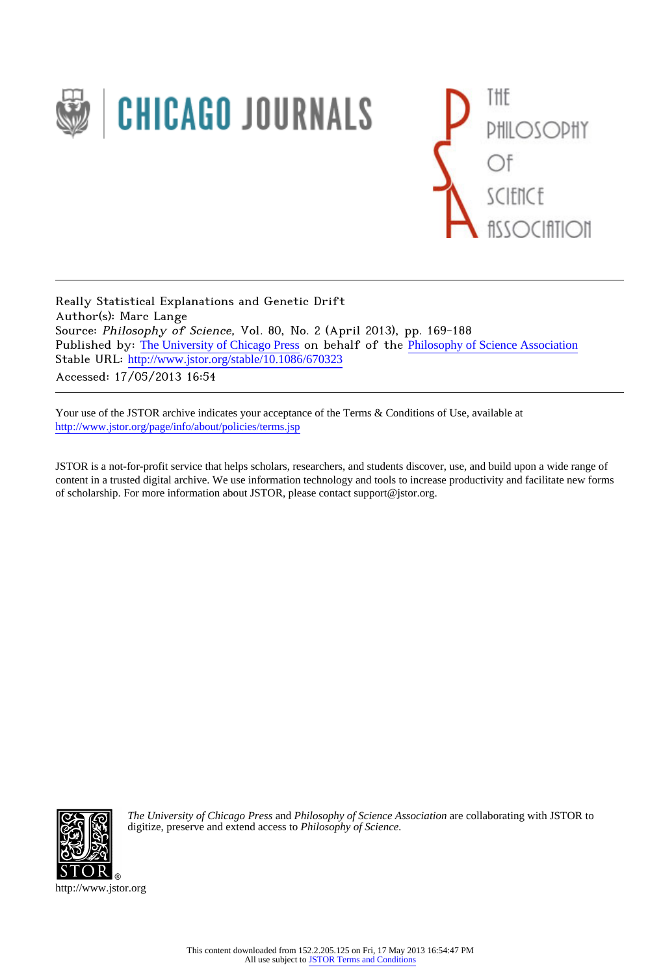



Really Statistical Explanations and Genetic Drift Author(s): Marc Lange Source: Philosophy of Science, Vol. 80, No. 2 (April 2013), pp. 169-188 Published by: [The University of Chicago Press](http://www.jstor.org/action/showPublisher?publisherCode=ucpress) on behalf of the [Philosophy of Science Association](http://www.jstor.org/action/showPublisher?publisherCode=psa) Stable URL: http://www.jstor.org/stable/10.1086/670323 Accessed: 17/05/2013 16:54

Your use of the JSTOR archive indicates your acceptance of the Terms & Conditions of Use, available at <http://www.jstor.org/page/info/about/policies/terms.jsp>

JSTOR is a not-for-profit service that helps scholars, researchers, and students discover, use, and build upon a wide range of content in a trusted digital archive. We use information technology and tools to increase productivity and facilitate new forms of scholarship. For more information about JSTOR, please contact support@jstor.org.



*The University of Chicago Press* and *Philosophy of Science Association* are collaborating with JSTOR to digitize, preserve and extend access to *Philosophy of Science.*

http://www.jstor.org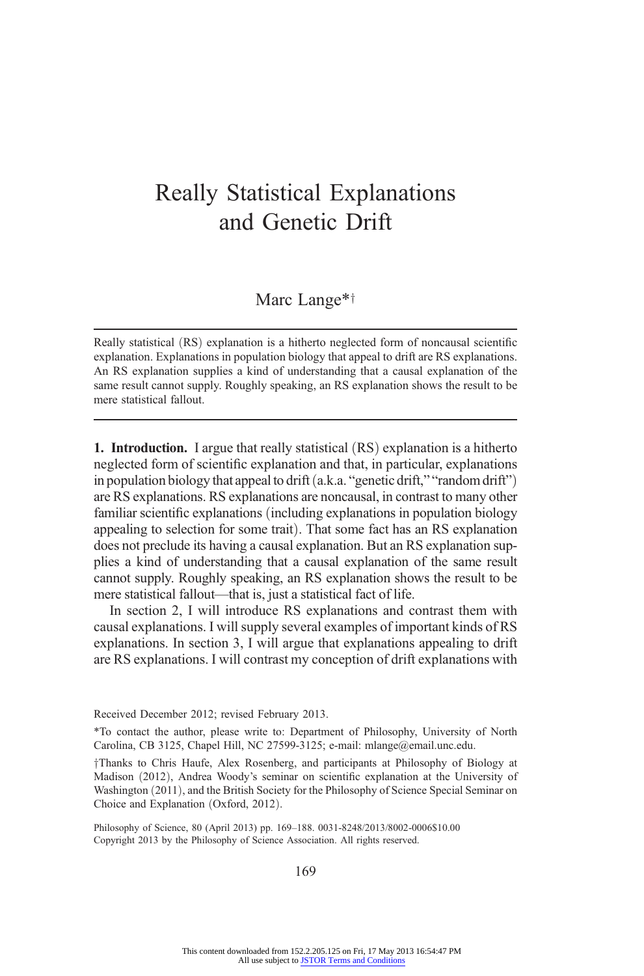## Really Statistical Explanations and Genetic Drift

Marc Lange\*<sup>†</sup>

Really statistical (RS) explanation is a hitherto neglected form of noncausal scientific explanation. Explanations in population biology that appeal to drift are RS explanations. An RS explanation supplies a kind of understanding that a causal explanation of the same result cannot supply. Roughly speaking, an RS explanation shows the result to be mere statistical fallout.

1. Introduction. I argue that really statistical (RS) explanation is a hitherto neglected form of scientific explanation and that, in particular, explanations in population biology that appeal to drift (a.k.a. "genetic drift," "random drift") are RS explanations. RS explanations are noncausal, in contrast to many other familiar scientific explanations (including explanations in population biology appealing to selection for some trait). That some fact has an RS explanation does not preclude its having a causal explanation. But an RS explanation supplies a kind of understanding that a causal explanation of the same result cannot supply. Roughly speaking, an RS explanation shows the result to be mere statistical fallout—that is, just a statistical fact of life.

In section 2, I will introduce RS explanations and contrast them with causal explanations. I will supply several examples of important kinds of RS explanations. In section 3, I will argue that explanations appealing to drift are RS explanations. I will contrast my conception of drift explanations with

Received December 2012; revised February 2013.

\*To contact the author, please write to: Department of Philosophy, University of North Carolina, CB 3125, Chapel Hill, NC 27599-3125; e-mail: mlange@email.unc.edu.

<sup>†</sup>Thanks to Chris Haufe, Alex Rosenberg, and participants at Philosophy of Biology at Madison (2012), Andrea Woody's seminar on scientific explanation at the University of Washington (2011), and the British Society for the Philosophy of Science Special Seminar on Choice and Explanation (Oxford, 2012).

Philosophy of Science, 80 (April 2013) pp. 169–188. 0031-8248/2013/8002-0006\$10.00 Copyright 2013 by the Philosophy of Science Association. All rights reserved.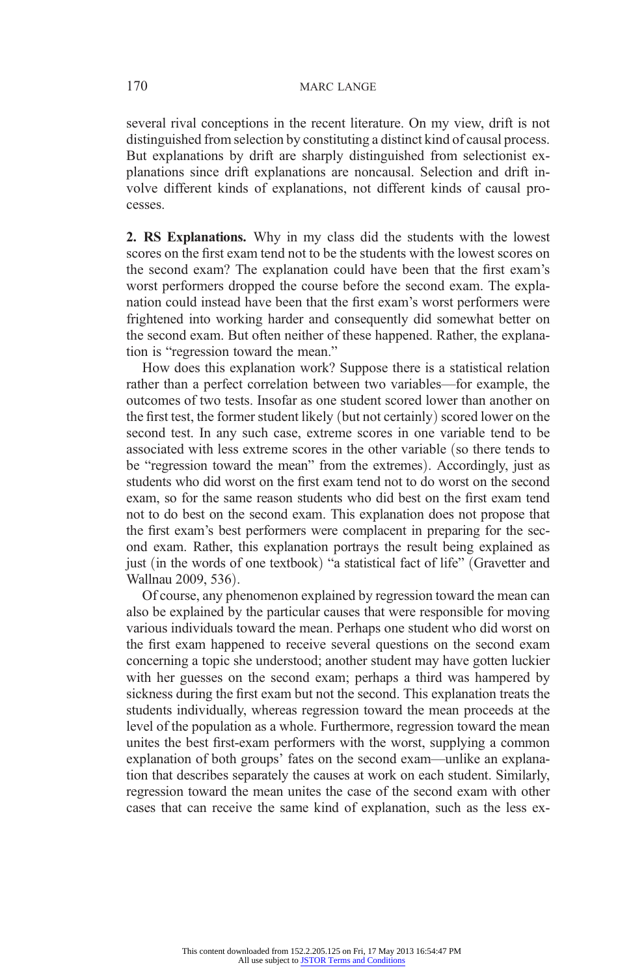several rival conceptions in the recent literature. On my view, drift is not distinguished from selection by constituting a distinct kind of causal process. But explanations by drift are sharply distinguished from selectionist explanations since drift explanations are noncausal. Selection and drift involve different kinds of explanations, not different kinds of causal processes.

2. RS Explanations. Why in my class did the students with the lowest scores on the first exam tend not to be the students with the lowest scores on the second exam? The explanation could have been that the first exam's worst performers dropped the course before the second exam. The explanation could instead have been that the first exam's worst performers were frightened into working harder and consequently did somewhat better on the second exam. But often neither of these happened. Rather, the explanation is "regression toward the mean."

How does this explanation work? Suppose there is a statistical relation rather than a perfect correlation between two variables—for example, the outcomes of two tests. Insofar as one student scored lower than another on the first test, the former student likely (but not certainly) scored lower on the second test. In any such case, extreme scores in one variable tend to be associated with less extreme scores in the other variable (so there tends to be "regression toward the mean" from the extremes). Accordingly, just as students who did worst on the first exam tend not to do worst on the second exam, so for the same reason students who did best on the first exam tend not to do best on the second exam. This explanation does not propose that the first exam's best performers were complacent in preparing for the second exam. Rather, this explanation portrays the result being explained as just (in the words of one textbook) "a statistical fact of life" (Gravetter and Wallnau 2009, 536).

Of course, any phenomenon explained by regression toward the mean can also be explained by the particular causes that were responsible for moving various individuals toward the mean. Perhaps one student who did worst on the first exam happened to receive several questions on the second exam concerning a topic she understood; another student may have gotten luckier with her guesses on the second exam; perhaps a third was hampered by sickness during the first exam but not the second. This explanation treats the students individually, whereas regression toward the mean proceeds at the level of the population as a whole. Furthermore, regression toward the mean unites the best first-exam performers with the worst, supplying a common explanation of both groups' fates on the second exam—unlike an explanation that describes separately the causes at work on each student. Similarly, regression toward the mean unites the case of the second exam with other cases that can receive the same kind of explanation, such as the less ex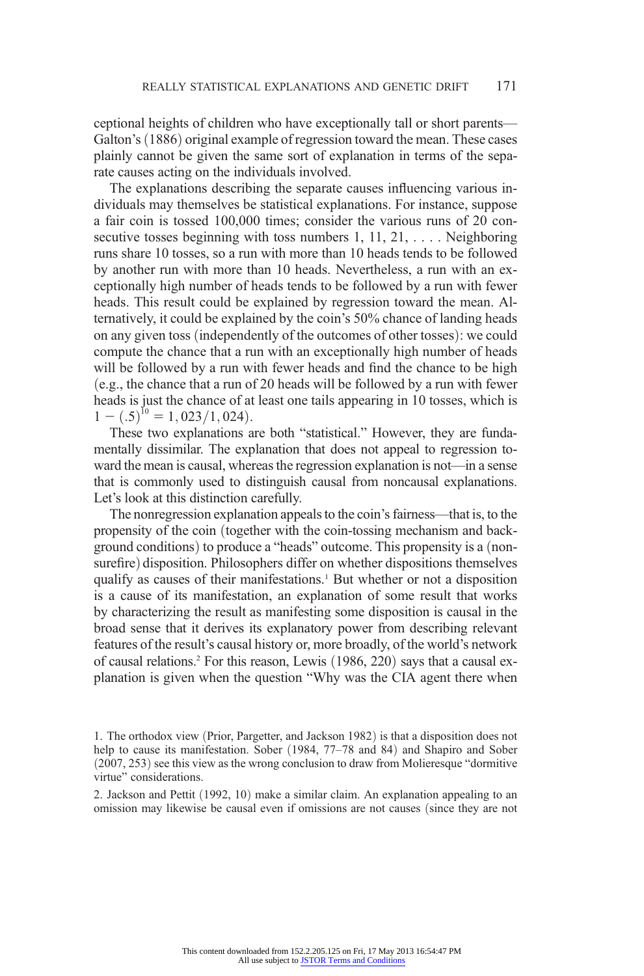ceptional heights of children who have exceptionally tall or short parents— Galton's (1886) original example of regression toward the mean. These cases plainly cannot be given the same sort of explanation in terms of the separate causes acting on the individuals involved.

The explanations describing the separate causes influencing various individuals may themselves be statistical explanations. For instance, suppose a fair coin is tossed 100,000 times; consider the various runs of 20 consecutive tosses beginning with toss numbers 1, 11, 21, ... . Neighboring runs share 10 tosses, so a run with more than 10 heads tends to be followed by another run with more than 10 heads. Nevertheless, a run with an exceptionally high number of heads tends to be followed by a run with fewer heads. This result could be explained by regression toward the mean. Alternatively, it could be explained by the coin's 50% chance of landing heads on any given toss (independently of the outcomes of other tosses): we could compute the chance that a run with an exceptionally high number of heads will be followed by a run with fewer heads and find the chance to be high ðe.g., the chance that a run of 20 heads will be followed by a run with fewer heads is just the chance of at least one tails appearing in 10 tosses, which is  $1 - (.5)^{10} = 1,023/1,024).$ 

These two explanations are both "statistical." However, they are fundamentally dissimilar. The explanation that does not appeal to regression toward the mean is causal, whereas the regression explanation is not—in a sense that is commonly used to distinguish causal from noncausal explanations. Let's look at this distinction carefully.

The nonregression explanation appeals to the coin's fairness—that is, to the propensity of the coin (together with the coin-tossing mechanism and background conditions) to produce a "heads" outcome. This propensity is a (nonsurefire) disposition. Philosophers differ on whether dispositions themselves qualify as causes of their manifestations.<sup>1</sup> But whether or not a disposition is a cause of its manifestation, an explanation of some result that works by characterizing the result as manifesting some disposition is causal in the broad sense that it derives its explanatory power from describing relevant features of the result's causal history or, more broadly, of the world's network of causal relations.<sup>2</sup> For this reason, Lewis (1986, 220) says that a causal explanation is given when the question "Why was the CIA agent there when

<sup>1.</sup> The orthodox view (Prior, Pargetter, and Jackson 1982) is that a disposition does not help to cause its manifestation. Sober (1984, 77-78 and 84) and Shapiro and Sober  $(2007, 253)$  see this view as the wrong conclusion to draw from Molieresque "dormitive virtue" considerations.

<sup>2.</sup> Jackson and Pettit (1992, 10) make a similar claim. An explanation appealing to an omission may likewise be causal even if omissions are not causes (since they are not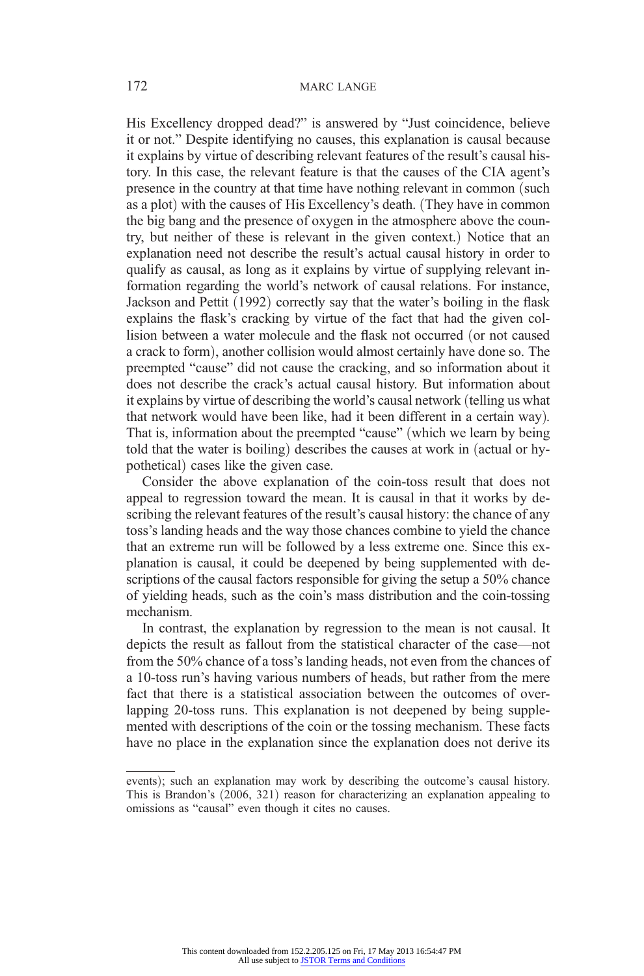His Excellency dropped dead?" is answered by "Just coincidence, believe it or not." Despite identifying no causes, this explanation is causal because it explains by virtue of describing relevant features of the result's causal history. In this case, the relevant feature is that the causes of the CIA agent's presence in the country at that time have nothing relevant in common (such as a plot) with the causes of His Excellency's death. (They have in common the big bang and the presence of oxygen in the atmosphere above the country, but neither of these is relevant in the given context.) Notice that an explanation need not describe the result's actual causal history in order to qualify as causal, as long as it explains by virtue of supplying relevant information regarding the world's network of causal relations. For instance, Jackson and Pettit (1992) correctly say that the water's boiling in the flask explains the flask's cracking by virtue of the fact that had the given collision between a water molecule and the flask not occurred (or not caused a crack to form), another collision would almost certainly have done so. The preempted "cause" did not cause the cracking, and so information about it does not describe the crack's actual causal history. But information about it explains by virtue of describing the world's causal network (telling us what that network would have been like, had it been different in a certain way). That is, information about the preempted "cause" (which we learn by being told that the water is boiling) describes the causes at work in (actual or hypothetical) cases like the given case.

Consider the above explanation of the coin-toss result that does not appeal to regression toward the mean. It is causal in that it works by describing the relevant features of the result's causal history: the chance of any toss's landing heads and the way those chances combine to yield the chance that an extreme run will be followed by a less extreme one. Since this explanation is causal, it could be deepened by being supplemented with descriptions of the causal factors responsible for giving the setup a 50% chance of yielding heads, such as the coin's mass distribution and the coin-tossing mechanism.

In contrast, the explanation by regression to the mean is not causal. It depicts the result as fallout from the statistical character of the case—not from the 50% chance of a toss's landing heads, not even from the chances of a 10-toss run's having various numbers of heads, but rather from the mere fact that there is a statistical association between the outcomes of overlapping 20-toss runs. This explanation is not deepened by being supplemented with descriptions of the coin or the tossing mechanism. These facts have no place in the explanation since the explanation does not derive its

events); such an explanation may work by describing the outcome's causal history. This is Brandon's  $(2006, 321)$  reason for characterizing an explanation appealing to omissions as "causal" even though it cites no causes.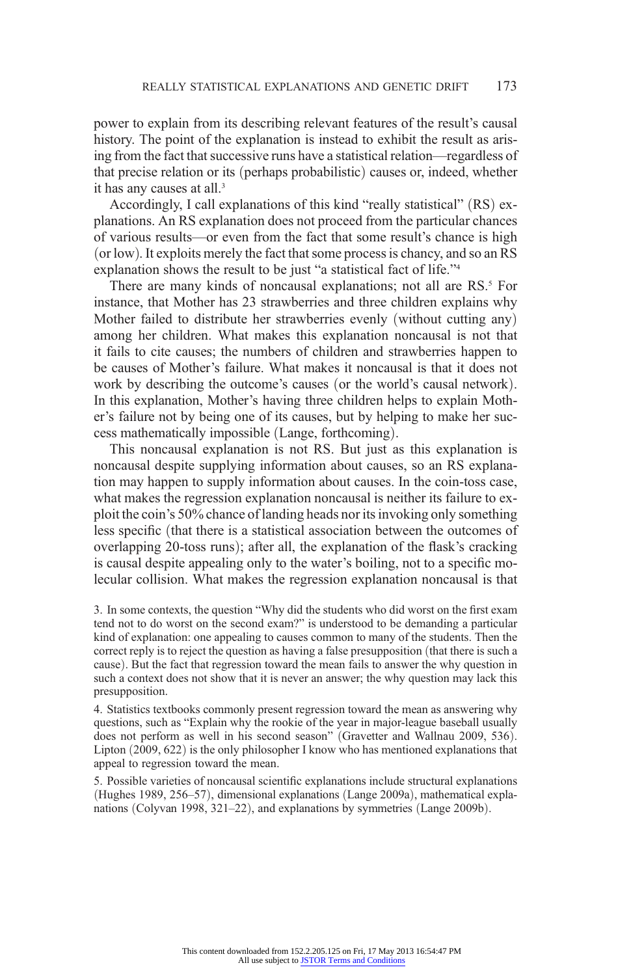power to explain from its describing relevant features of the result's causal history. The point of the explanation is instead to exhibit the result as arising from the fact that successive runs have a statistical relation—regardless of that precise relation or its (perhaps probabilistic) causes or, indeed, whether it has any causes at all.<sup>3</sup>

Accordingly, I call explanations of this kind "really statistical" (RS) explanations. An RS explanation does not proceed from the particular chances of various results—or even from the fact that some result's chance is high  $\alpha$  (or low). It exploits merely the fact that some process is chancy, and so an RS explanation shows the result to be just "a statistical fact of life."<sup>4</sup>

There are many kinds of noncausal explanations; not all are RS.<sup>5</sup> For instance, that Mother has 23 strawberries and three children explains why Mother failed to distribute her strawberries evenly (without cutting any) among her children. What makes this explanation noncausal is not that it fails to cite causes; the numbers of children and strawberries happen to be causes of Mother's failure. What makes it noncausal is that it does not work by describing the outcome's causes (or the world's causal network). In this explanation, Mother's having three children helps to explain Mother's failure not by being one of its causes, but by helping to make her success mathematically impossible (Lange, forthcoming).

This noncausal explanation is not RS. But just as this explanation is noncausal despite supplying information about causes, so an RS explanation may happen to supply information about causes. In the coin-toss case, what makes the regression explanation noncausal is neither its failure to exploit the coin's 50% chance of landing heads nor its invoking only something less specific (that there is a statistical association between the outcomes of overlapping 20-toss runs); after all, the explanation of the flask's cracking is causal despite appealing only to the water's boiling, not to a specific molecular collision. What makes the regression explanation noncausal is that

3. In some contexts, the question "Why did the students who did worst on the first exam tend not to do worst on the second exam?" is understood to be demanding a particular kind of explanation: one appealing to causes common to many of the students. Then the correct reply is to reject the question as having a false presupposition (that there is such a cause). But the fact that regression toward the mean fails to answer the why question in such a context does not show that it is never an answer; the why question may lack this presupposition.

4. Statistics textbooks commonly present regression toward the mean as answering why questions, such as "Explain why the rookie of the year in major-league baseball usually does not perform as well in his second season" (Gravetter and Wallnau 2009, 536). Lipton  $(2009, 622)$  is the only philosopher I know who has mentioned explanations that appeal to regression toward the mean.

5. Possible varieties of noncausal scientific explanations include structural explanations (Hughes 1989, 256–57), dimensional explanations (Lange 2009a), mathematical explanations (Colyvan 1998,  $321-22$ ), and explanations by symmetries (Lange 2009b).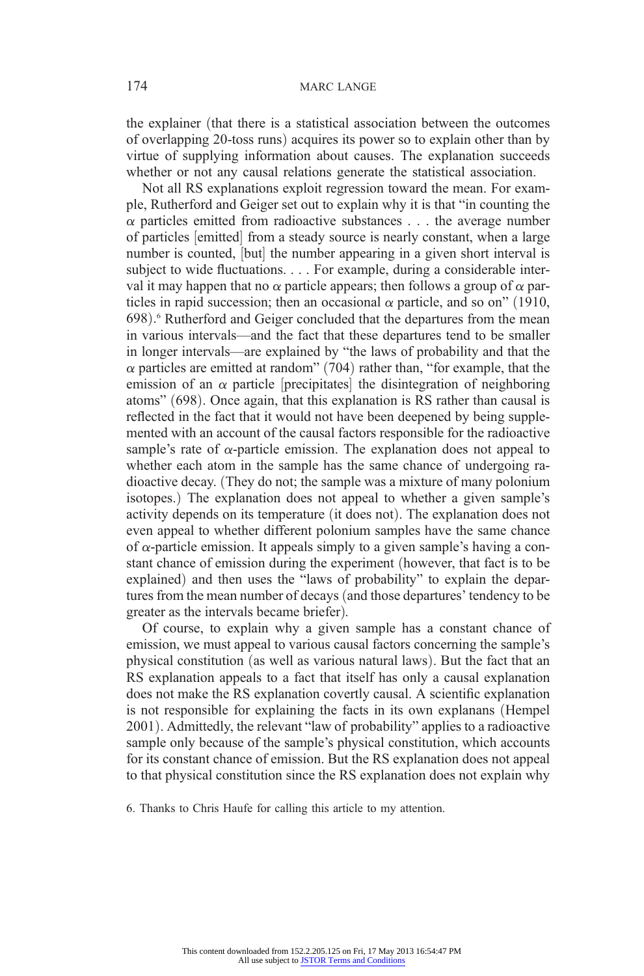the explainer (that there is a statistical association between the outcomes of overlapping 20-toss runs) acquires its power so to explain other than by virtue of supplying information about causes. The explanation succeeds whether or not any causal relations generate the statistical association.

Not all RS explanations exploit regression toward the mean. For example, Rutherford and Geiger set out to explain why it is that "in counting the  $\alpha$  particles emitted from radioactive substances . . . the average number of particles [emitted] from a steady source is nearly constant, when a large number is counted, [but] the number appearing in a given short interval is subject to wide fluctuations. . . . For example, during a considerable interval it may happen that no  $\alpha$  particle appears; then follows a group of  $\alpha$  particles in rapid succession; then an occasional  $\alpha$  particle, and so on" (1910, 698).<sup>6</sup> Rutherford and Geiger concluded that the departures from the mean in various intervals—and the fact that these departures tend to be smaller in longer intervals—are explained by "the laws of probability and that the  $\alpha$  particles are emitted at random" (704) rather than, "for example, that the emission of an  $\alpha$  particle [precipitates] the disintegration of neighboring atoms" (698). Once again, that this explanation is RS rather than causal is reflected in the fact that it would not have been deepened by being supplemented with an account of the causal factors responsible for the radioactive sample's rate of  $\alpha$ -particle emission. The explanation does not appeal to whether each atom in the sample has the same chance of undergoing radioactive decay. (They do not; the sample was a mixture of many polonium isotopes.) The explanation does not appeal to whether a given sample's activity depends on its temperature (it does not). The explanation does not even appeal to whether different polonium samples have the same chance of  $\alpha$ -particle emission. It appeals simply to a given sample's having a constant chance of emission during the experiment (however, that fact is to be explained) and then uses the "laws of probability" to explain the departures from the mean number of decays (and those departures' tendency to be greater as the intervals became briefer).

Of course, to explain why a given sample has a constant chance of emission, we must appeal to various causal factors concerning the sample's physical constitution (as well as various natural laws). But the fact that an RS explanation appeals to a fact that itself has only a causal explanation does not make the RS explanation covertly causal. A scientific explanation is not responsible for explaining the facts in its own explanans (Hempel 2001). Admittedly, the relevant "law of probability" applies to a radioactive sample only because of the sample's physical constitution, which accounts for its constant chance of emission. But the RS explanation does not appeal to that physical constitution since the RS explanation does not explain why

6. Thanks to Chris Haufe for calling this article to my attention.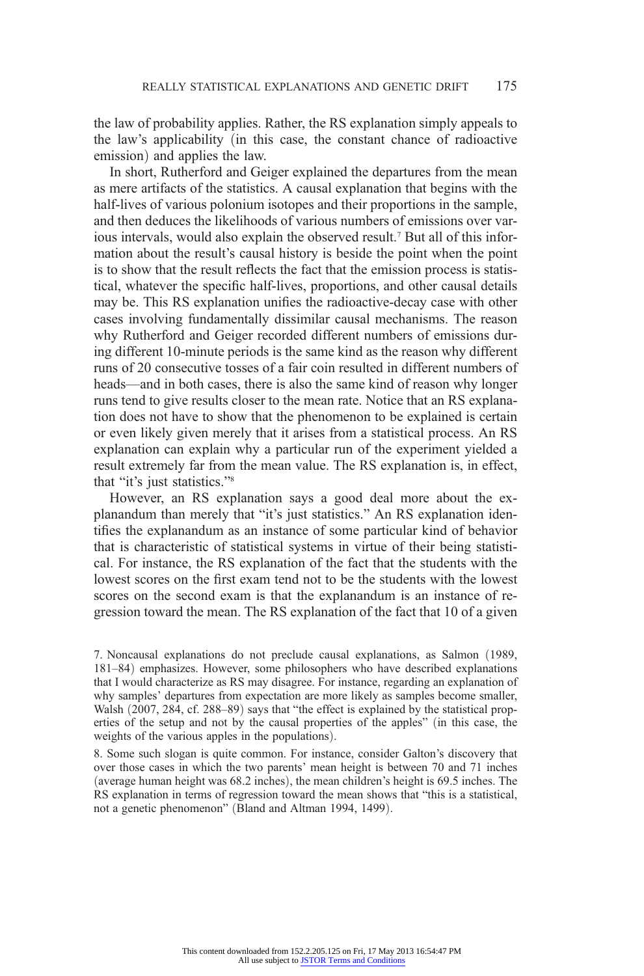the law of probability applies. Rather, the RS explanation simply appeals to the law's applicability (in this case, the constant chance of radioactive emission) and applies the law.

In short, Rutherford and Geiger explained the departures from the mean as mere artifacts of the statistics. A causal explanation that begins with the half-lives of various polonium isotopes and their proportions in the sample, and then deduces the likelihoods of various numbers of emissions over various intervals, would also explain the observed result.7 But all of this information about the result's causal history is beside the point when the point is to show that the result reflects the fact that the emission process is statistical, whatever the specific half-lives, proportions, and other causal details may be. This RS explanation unifies the radioactive-decay case with other cases involving fundamentally dissimilar causal mechanisms. The reason why Rutherford and Geiger recorded different numbers of emissions during different 10-minute periods is the same kind as the reason why different runs of 20 consecutive tosses of a fair coin resulted in different numbers of heads—and in both cases, there is also the same kind of reason why longer runs tend to give results closer to the mean rate. Notice that an RS explanation does not have to show that the phenomenon to be explained is certain or even likely given merely that it arises from a statistical process. An RS explanation can explain why a particular run of the experiment yielded a result extremely far from the mean value. The RS explanation is, in effect, that "it's just statistics."<sup>8</sup>

However, an RS explanation says a good deal more about the explanandum than merely that "it's just statistics." An RS explanation identifies the explanandum as an instance of some particular kind of behavior that is characteristic of statistical systems in virtue of their being statistical. For instance, the RS explanation of the fact that the students with the lowest scores on the first exam tend not to be the students with the lowest scores on the second exam is that the explanandum is an instance of regression toward the mean. The RS explanation of the fact that 10 of a given

8. Some such slogan is quite common. For instance, consider Galton's discovery that over those cases in which the two parents' mean height is between 70 and 71 inches (average human height was  $68.2$  inches), the mean children's height is  $69.5$  inches. The RS explanation in terms of regression toward the mean shows that "this is a statistical, not a genetic phenomenon" (Bland and Altman 1994, 1499).

<sup>7.</sup> Noncausal explanations do not preclude causal explanations, as Salmon (1989, 181–84) emphasizes. However, some philosophers who have described explanations that I would characterize as RS may disagree. For instance, regarding an explanation of why samples' departures from expectation are more likely as samples become smaller, Walsh (2007, 284, cf. 288–89) says that "the effect is explained by the statistical properties of the setup and not by the causal properties of the apples" (in this case, the weights of the various apples in the populations).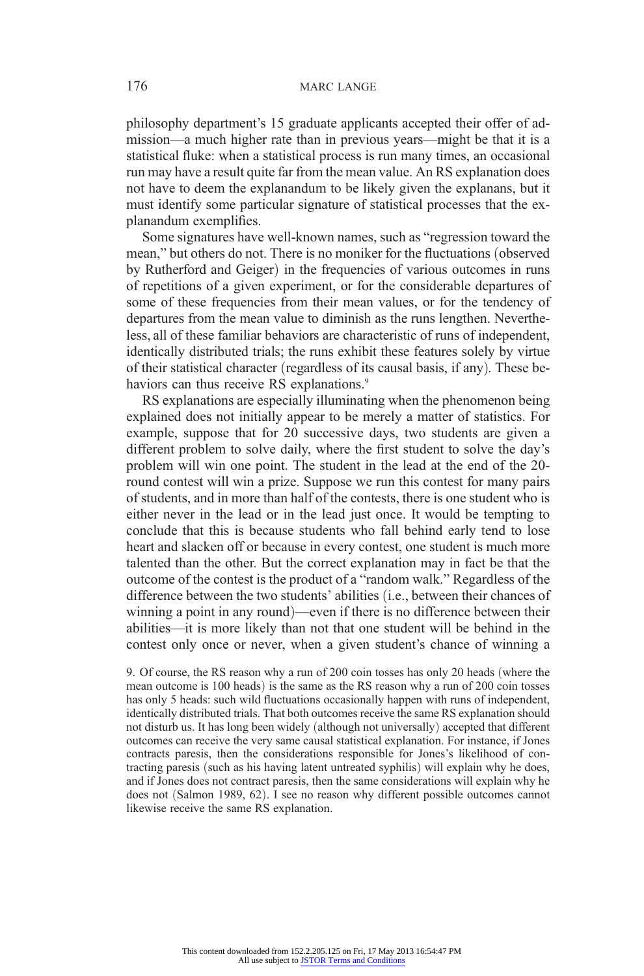philosophy department's 15 graduate applicants accepted their offer of admission—a much higher rate than in previous years—might be that it is a statistical fluke: when a statistical process is run many times, an occasional run may have a result quite far from the mean value. An RS explanation does not have to deem the explanandum to be likely given the explanans, but it must identify some particular signature of statistical processes that the explanandum exemplifies.

Some signatures have well-known names, such as "regression toward the mean," but others do not. There is no moniker for the fluctuations (observed by Rutherford and Geiger) in the frequencies of various outcomes in runs of repetitions of a given experiment, or for the considerable departures of some of these frequencies from their mean values, or for the tendency of departures from the mean value to diminish as the runs lengthen. Nevertheless, all of these familiar behaviors are characteristic of runs of independent, identically distributed trials; the runs exhibit these features solely by virtue of their statistical character (regardless of its causal basis, if any). These behaviors can thus receive RS explanations.<sup>9</sup>

RS explanations are especially illuminating when the phenomenon being explained does not initially appear to be merely a matter of statistics. For example, suppose that for 20 successive days, two students are given a different problem to solve daily, where the first student to solve the day's problem will win one point. The student in the lead at the end of the 20 round contest will win a prize. Suppose we run this contest for many pairs of students, and in more than half of the contests, there is one student who is either never in the lead or in the lead just once. It would be tempting to conclude that this is because students who fall behind early tend to lose heart and slacken off or because in every contest, one student is much more talented than the other. But the correct explanation may in fact be that the outcome of the contest is the product of a "random walk." Regardless of the difference between the two students' abilities  $(i.e., between their chances of$ winning a point in any round)—even if there is no difference between their abilities—it is more likely than not that one student will be behind in the contest only once or never, when a given student's chance of winning a

9. Of course, the RS reason why a run of 200 coin tosses has only 20 heads (where the mean outcome is 100 heads) is the same as the RS reason why a run of 200 coin tosses has only 5 heads: such wild fluctuations occasionally happen with runs of independent, identically distributed trials. That both outcomes receive the same RS explanation should not disturb us. It has long been widely (although not universally) accepted that different outcomes can receive the very same causal statistical explanation. For instance, if Jones contracts paresis, then the considerations responsible for Jones's likelihood of contracting paresis (such as his having latent untreated syphilis) will explain why he does, and if Jones does not contract paresis, then the same considerations will explain why he does not (Salmon 1989, 62). I see no reason why different possible outcomes cannot likewise receive the same RS explanation.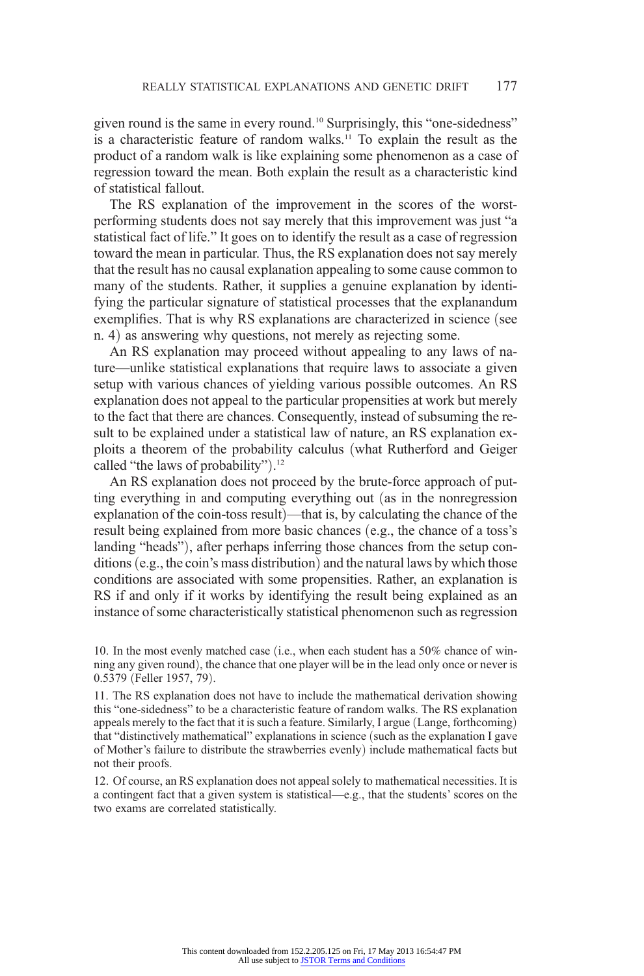given round is the same in every round.10 Surprisingly, this "one-sidedness" is a characteristic feature of random walks.11 To explain the result as the product of a random walk is like explaining some phenomenon as a case of regression toward the mean. Both explain the result as a characteristic kind of statistical fallout.

The RS explanation of the improvement in the scores of the worstperforming students does not say merely that this improvement was just "a statistical fact of life." It goes on to identify the result as a case of regression toward the mean in particular. Thus, the RS explanation does not say merely that the result has no causal explanation appealing to some cause common to many of the students. Rather, it supplies a genuine explanation by identifying the particular signature of statistical processes that the explanandum exemplifies. That is why RS explanations are characterized in science (see n. 4) as answering why questions, not merely as rejecting some.

An RS explanation may proceed without appealing to any laws of nature—unlike statistical explanations that require laws to associate a given setup with various chances of yielding various possible outcomes. An RS explanation does not appeal to the particular propensities at work but merely to the fact that there are chances. Consequently, instead of subsuming the result to be explained under a statistical law of nature, an RS explanation exploits a theorem of the probability calculus (what Rutherford and Geiger called "the laws of probability").<sup>12</sup>

An RS explanation does not proceed by the brute-force approach of putting everything in and computing everything out (as in the nonregression explanation of the coin-toss result)—that is, by calculating the chance of the result being explained from more basic chances (e.g., the chance of a toss's landing "heads"), after perhaps inferring those chances from the setup conditions (e.g., the coin's mass distribution) and the natural laws by which those conditions are associated with some propensities. Rather, an explanation is RS if and only if it works by identifying the result being explained as an instance of some characteristically statistical phenomenon such as regression

10. In the most evenly matched case  $(i.e.,$  when each student has a 50% chance of winning any given round), the chance that one player will be in the lead only once or never is 0.5379 (Feller 1957, 79).

11. The RS explanation does not have to include the mathematical derivation showing this "one-sidedness" to be a characteristic feature of random walks. The RS explanation appeals merely to the fact that it is such a feature. Similarly, I argue (Lange, forthcoming) that "distinctively mathematical" explanations in science (such as the explanation I gave of Mother's failure to distribute the strawberries evenly) include mathematical facts but not their proofs.

12. Of course, an RS explanation does not appeal solely to mathematical necessities. It is a contingent fact that a given system is statistical—e.g., that the students' scores on the two exams are correlated statistically.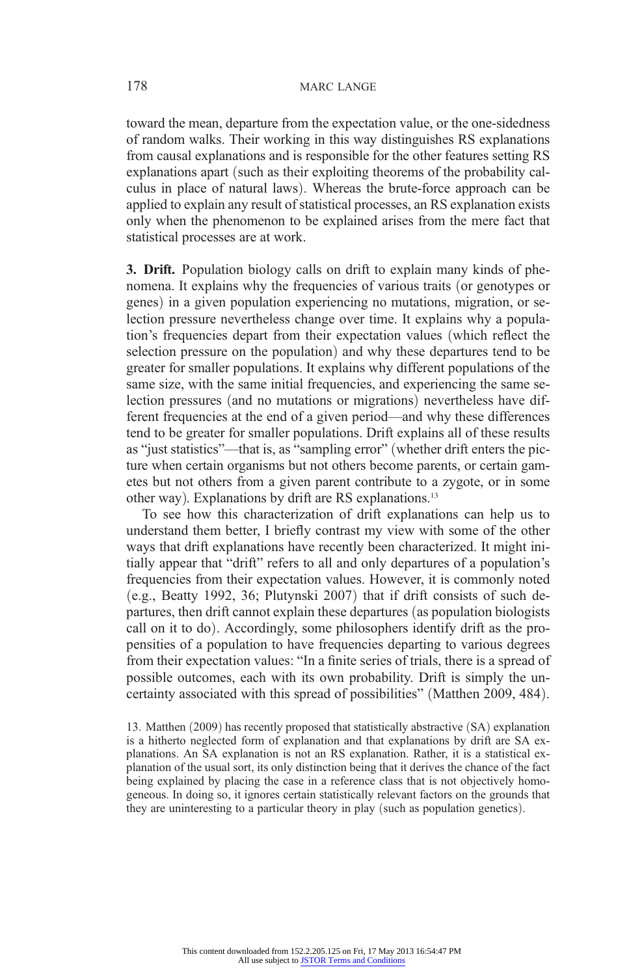toward the mean, departure from the expectation value, or the one-sidedness of random walks. Their working in this way distinguishes RS explanations from causal explanations and is responsible for the other features setting RS explanations apart (such as their exploiting theorems of the probability calculus in place of natural laws). Whereas the brute-force approach can be applied to explain any result of statistical processes, an RS explanation exists only when the phenomenon to be explained arises from the mere fact that statistical processes are at work.

3. Drift. Population biology calls on drift to explain many kinds of phenomena. It explains why the frequencies of various traits (or genotypes or genes) in a given population experiencing no mutations, migration, or selection pressure nevertheless change over time. It explains why a population's frequencies depart from their expectation values (which reflect the selection pressure on the population) and why these departures tend to be greater for smaller populations. It explains why different populations of the same size, with the same initial frequencies, and experiencing the same selection pressures (and no mutations or migrations) nevertheless have different frequencies at the end of a given period—and why these differences tend to be greater for smaller populations. Drift explains all of these results as "just statistics"—that is, as "sampling error" (whether drift enters the picture when certain organisms but not others become parents, or certain gametes but not others from a given parent contribute to a zygote, or in some other way). Explanations by drift are RS explanations.<sup>13</sup>

To see how this characterization of drift explanations can help us to understand them better, I briefly contrast my view with some of the other ways that drift explanations have recently been characterized. It might initially appear that "drift" refers to all and only departures of a population's frequencies from their expectation values. However, it is commonly noted (e.g., Beatty 1992, 36; Plutynski  $2007$ ) that if drift consists of such departures, then drift cannot explain these departures (as population biologists call on it to do). Accordingly, some philosophers identify drift as the propensities of a population to have frequencies departing to various degrees from their expectation values: "In a finite series of trials, there is a spread of possible outcomes, each with its own probability. Drift is simply the uncertainty associated with this spread of possibilities" (Matthen 2009, 484).

13. Matthen (2009) has recently proposed that statistically abstractive (SA) explanation is a hitherto neglected form of explanation and that explanations by drift are SA explanations. An SA explanation is not an RS explanation. Rather, it is a statistical explanation of the usual sort, its only distinction being that it derives the chance of the fact being explained by placing the case in a reference class that is not objectively homogeneous. In doing so, it ignores certain statistically relevant factors on the grounds that they are uninteresting to a particular theory in play (such as population genetics).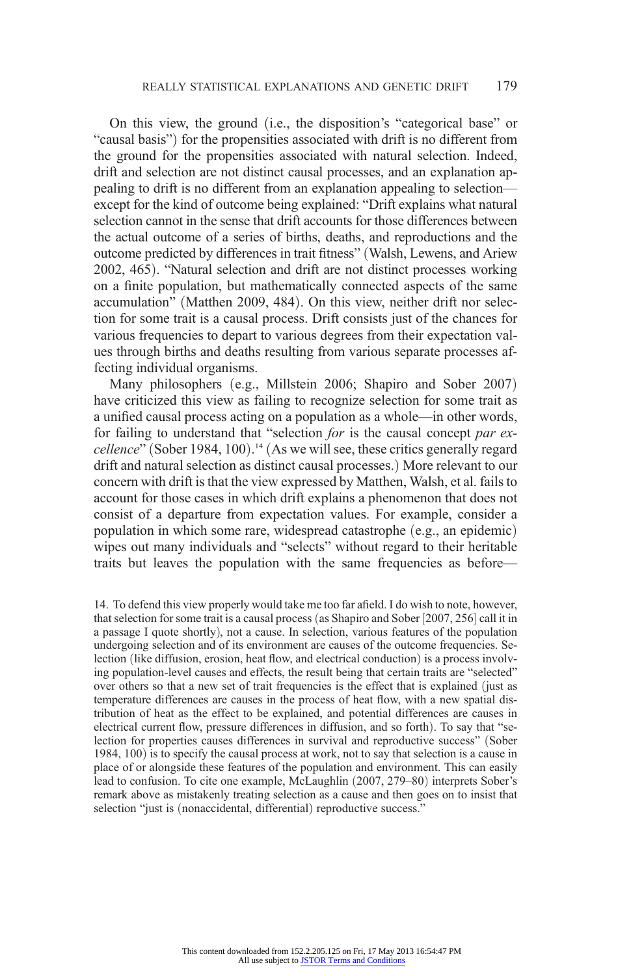On this view, the ground (i.e., the disposition's "categorical base" or "causal basis") for the propensities associated with drift is no different from the ground for the propensities associated with natural selection. Indeed, drift and selection are not distinct causal processes, and an explanation appealing to drift is no different from an explanation appealing to selection except for the kind of outcome being explained: "Drift explains what natural selection cannot in the sense that drift accounts for those differences between the actual outcome of a series of births, deaths, and reproductions and the outcome predicted by differences in trait fitness" (Walsh, Lewens, and Ariew 2002, 465). "Natural selection and drift are not distinct processes working on a finite population, but mathematically connected aspects of the same accumulation" (Matthen 2009, 484). On this view, neither drift nor selection for some trait is a causal process. Drift consists just of the chances for various frequencies to depart to various degrees from their expectation values through births and deaths resulting from various separate processes affecting individual organisms.

Many philosophers (e.g., Millstein 2006; Shapiro and Sober 2007) have criticized this view as failing to recognize selection for some trait as a unified causal process acting on a population as a whole—in other words, for failing to understand that "selection for is the causal concept par ex*cellence*" (Sober 1984, 100).<sup>14</sup> (As we will see, these critics generally regard drift and natural selection as distinct causal processes.) More relevant to our concern with drift is that the view expressed by Matthen, Walsh, et al. fails to account for those cases in which drift explains a phenomenon that does not consist of a departure from expectation values. For example, consider a population in which some rare, widespread catastrophe (e.g., an epidemic) wipes out many individuals and "selects" without regard to their heritable traits but leaves the population with the same frequencies as before—

14. To defend this view properly would take me too far afield. I do wish to note, however, that selection for some trait is a causal process (as Shapiro and Sober [2007, 256] call it in a passage I quote shortly), not a cause. In selection, various features of the population undergoing selection and of its environment are causes of the outcome frequencies. Selection (like diffusion, erosion, heat flow, and electrical conduction) is a process involving population-level causes and effects, the result being that certain traits are "selected" over others so that a new set of trait frequencies is the effect that is explained (just as temperature differences are causes in the process of heat flow, with a new spatial distribution of heat as the effect to be explained, and potential differences are causes in electrical current flow, pressure differences in diffusion, and so forth). To say that "selection for properties causes differences in survival and reproductive success" (Sober  $1984, 100$  is to specify the causal process at work, not to say that selection is a cause in place of or alongside these features of the population and environment. This can easily lead to confusion. To cite one example, McLaughlin (2007, 279–80) interprets Sober's remark above as mistakenly treating selection as a cause and then goes on to insist that selection "just is (nonaccidental, differential) reproductive success."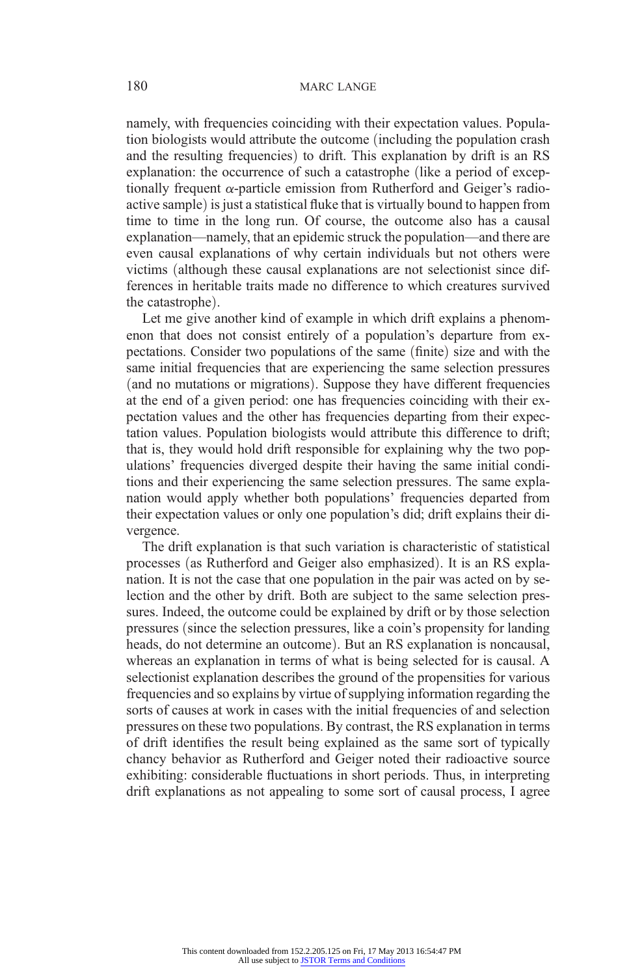namely, with frequencies coinciding with their expectation values. Population biologists would attribute the outcome (including the population crash and the resulting frequencies) to drift. This explanation by drift is an RS explanation: the occurrence of such a catastrophe (like a period of exceptionally frequent  $\alpha$ -particle emission from Rutherford and Geiger's radioactive sample) is just a statistical fluke that is virtually bound to happen from time to time in the long run. Of course, the outcome also has a causal explanation—namely, that an epidemic struck the population—and there are even causal explanations of why certain individuals but not others were victims (although these causal explanations are not selectionist since differences in heritable traits made no difference to which creatures survived the catastrophe).

Let me give another kind of example in which drift explains a phenomenon that does not consist entirely of a population's departure from expectations. Consider two populations of the same (finite) size and with the same initial frequencies that are experiencing the same selection pressures (and no mutations or migrations). Suppose they have different frequencies at the end of a given period: one has frequencies coinciding with their expectation values and the other has frequencies departing from their expectation values. Population biologists would attribute this difference to drift; that is, they would hold drift responsible for explaining why the two populations' frequencies diverged despite their having the same initial conditions and their experiencing the same selection pressures. The same explanation would apply whether both populations' frequencies departed from their expectation values or only one population's did; drift explains their divergence.

The drift explanation is that such variation is characteristic of statistical processes (as Rutherford and Geiger also emphasized). It is an RS explanation. It is not the case that one population in the pair was acted on by selection and the other by drift. Both are subject to the same selection pressures. Indeed, the outcome could be explained by drift or by those selection pressures (since the selection pressures, like a coin's propensity for landing heads, do not determine an outcome). But an RS explanation is noncausal, whereas an explanation in terms of what is being selected for is causal. A selectionist explanation describes the ground of the propensities for various frequencies and so explains by virtue of supplying information regarding the sorts of causes at work in cases with the initial frequencies of and selection pressures on these two populations. By contrast, the RS explanation in terms of drift identifies the result being explained as the same sort of typically chancy behavior as Rutherford and Geiger noted their radioactive source exhibiting: considerable fluctuations in short periods. Thus, in interpreting drift explanations as not appealing to some sort of causal process, I agree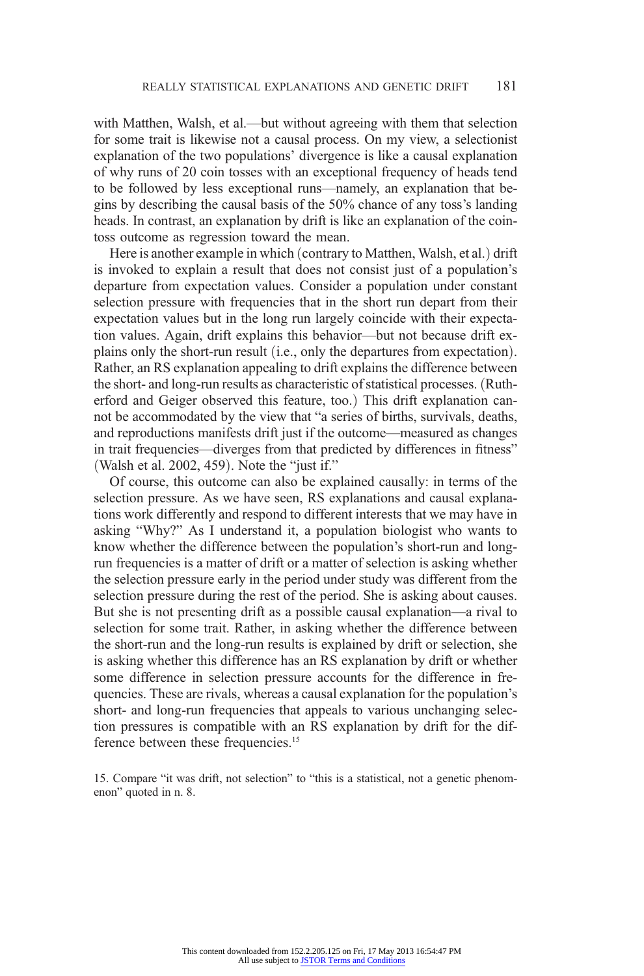with Matthen, Walsh, et al.—but without agreeing with them that selection for some trait is likewise not a causal process. On my view, a selectionist explanation of the two populations' divergence is like a causal explanation of why runs of 20 coin tosses with an exceptional frequency of heads tend to be followed by less exceptional runs—namely, an explanation that begins by describing the causal basis of the 50% chance of any toss's landing heads. In contrast, an explanation by drift is like an explanation of the cointoss outcome as regression toward the mean.

Here is another example in which (contrary to Matthen, Walsh, et al.) drift is invoked to explain a result that does not consist just of a population's departure from expectation values. Consider a population under constant selection pressure with frequencies that in the short run depart from their expectation values but in the long run largely coincide with their expectation values. Again, drift explains this behavior—but not because drift explains only the short-run result  $(i.e., only the departures from expectation).$ Rather, an RS explanation appealing to drift explains the difference between the short- and long-run results as characteristic of statistical processes. (Rutherford and Geiger observed this feature, too.) This drift explanation cannot be accommodated by the view that "a series of births, survivals, deaths, and reproductions manifests drift just if the outcome—measured as changes in trait frequencies—diverges from that predicted by differences in fitness" (Walsh et al. 2002, 459). Note the "just if."

Of course, this outcome can also be explained causally: in terms of the selection pressure. As we have seen, RS explanations and causal explanations work differently and respond to different interests that we may have in asking "Why?" As I understand it, a population biologist who wants to know whether the difference between the population's short-run and longrun frequencies is a matter of drift or a matter of selection is asking whether the selection pressure early in the period under study was different from the selection pressure during the rest of the period. She is asking about causes. But she is not presenting drift as a possible causal explanation—a rival to selection for some trait. Rather, in asking whether the difference between the short-run and the long-run results is explained by drift or selection, she is asking whether this difference has an RS explanation by drift or whether some difference in selection pressure accounts for the difference in frequencies. These are rivals, whereas a causal explanation for the population's short- and long-run frequencies that appeals to various unchanging selection pressures is compatible with an RS explanation by drift for the difference between these frequencies.15

15. Compare "it was drift, not selection" to "this is a statistical, not a genetic phenomenon" quoted in n. 8.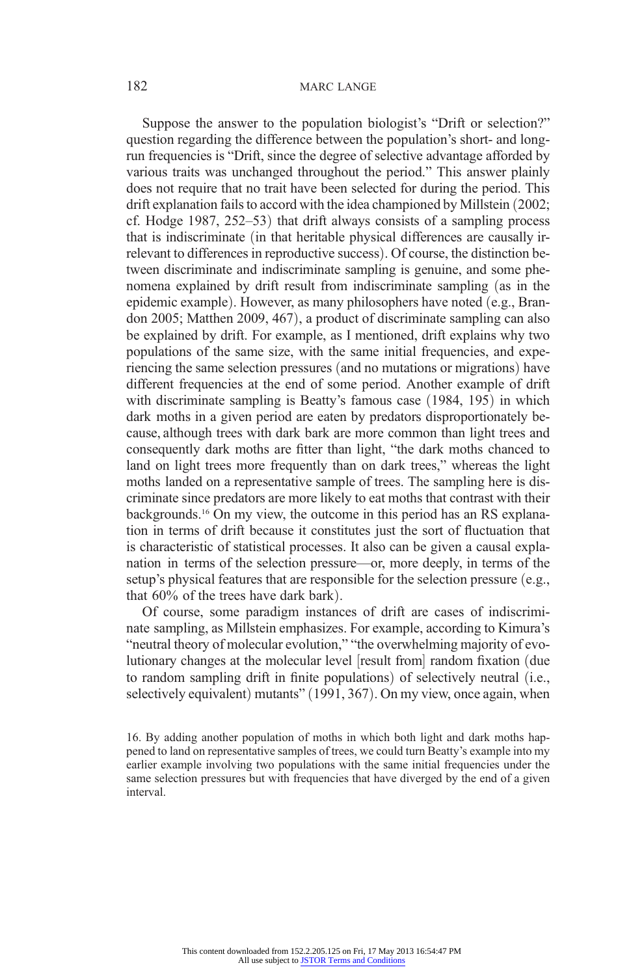## 182 MARC LANGE

Suppose the answer to the population biologist's "Drift or selection?" question regarding the difference between the population's short- and longrun frequencies is "Drift, since the degree of selective advantage afforded by various traits was unchanged throughout the period." This answer plainly does not require that no trait have been selected for during the period. This drift explanation fails to accord with the idea championed by Millstein  $(2002;$ cf. Hodge 1987,  $252-53$ ) that drift always consists of a sampling process that is indiscriminate (in that heritable physical differences are causally irrelevant to differences in reproductive success). Of course, the distinction between discriminate and indiscriminate sampling is genuine, and some phenomena explained by drift result from indiscriminate sampling (as in the epidemic example). However, as many philosophers have noted (e.g., Brandon 2005; Matthen 2009, 467), a product of discriminate sampling can also be explained by drift. For example, as I mentioned, drift explains why two populations of the same size, with the same initial frequencies, and experiencing the same selection pressures (and no mutations or migrations) have different frequencies at the end of some period. Another example of drift with discriminate sampling is Beatty's famous case (1984, 195) in which dark moths in a given period are eaten by predators disproportionately because, although trees with dark bark are more common than light trees and consequently dark moths are fitter than light, "the dark moths chanced to land on light trees more frequently than on dark trees," whereas the light moths landed on a representative sample of trees. The sampling here is discriminate since predators are more likely to eat moths that contrast with their backgrounds.16 On my view, the outcome in this period has an RS explanation in terms of drift because it constitutes just the sort of fluctuation that is characteristic of statistical processes. It also can be given a causal explanation in terms of the selection pressure—or, more deeply, in terms of the setup's physical features that are responsible for the selection pressure  $(e.g.,)$ that  $60\%$  of the trees have dark bark).

Of course, some paradigm instances of drift are cases of indiscriminate sampling, as Millstein emphasizes. For example, according to Kimura's "neutral theory of molecular evolution," "the overwhelming majority of evolutionary changes at the molecular level [result from] random fixation (due to random sampling drift in finite populations) of selectively neutral (i.e., selectively equivalent) mutants" (1991, 367). On my view, once again, when

<sup>16.</sup> By adding another population of moths in which both light and dark moths happened to land on representative samples of trees, we could turn Beatty's example into my earlier example involving two populations with the same initial frequencies under the same selection pressures but with frequencies that have diverged by the end of a given interval.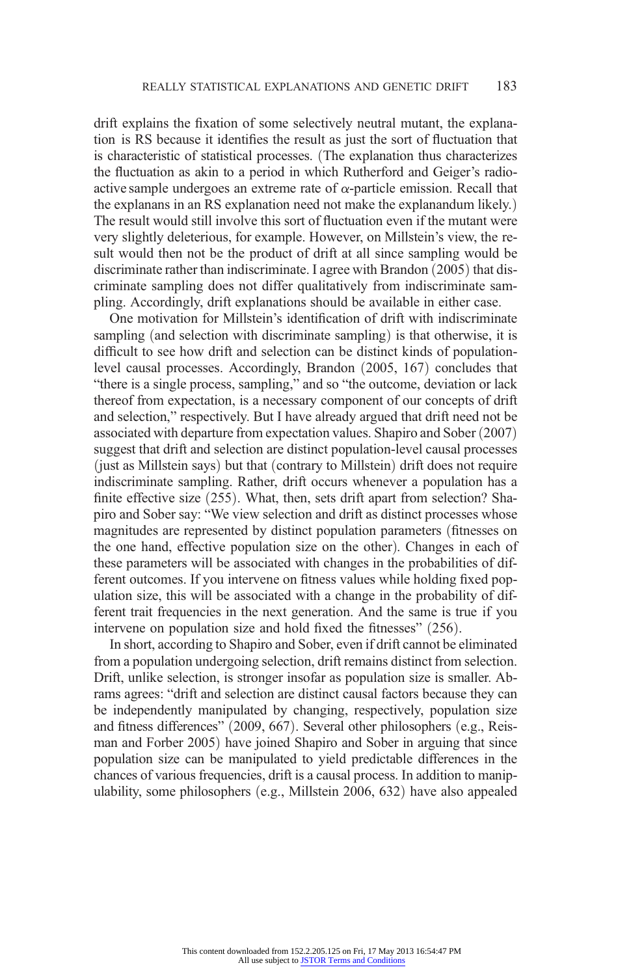drift explains the fixation of some selectively neutral mutant, the explanation is RS because it identifies the result as just the sort of fluctuation that is characteristic of statistical processes. (The explanation thus characterizes the fluctuation as akin to a period in which Rutherford and Geiger's radioactive sample undergoes an extreme rate of  $\alpha$ -particle emission. Recall that the explanans in an RS explanation need not make the explanandum likely. The result would still involve this sort of fluctuation even if the mutant were very slightly deleterious, for example. However, on Millstein's view, the result would then not be the product of drift at all since sampling would be discriminate rather than indiscriminate. I agree with Brandon  $(2005)$  that discriminate sampling does not differ qualitatively from indiscriminate sampling. Accordingly, drift explanations should be available in either case.

One motivation for Millstein's identification of drift with indiscriminate sampling (and selection with discriminate sampling) is that otherwise, it is difficult to see how drift and selection can be distinct kinds of populationlevel causal processes. Accordingly, Brandon (2005, 167) concludes that "there is a single process, sampling," and so "the outcome, deviation or lack thereof from expectation, is a necessary component of our concepts of drift and selection," respectively. But I have already argued that drift need not be associated with departure from expectation values. Shapiro and Sober $(2007)$ suggest that drift and selection are distinct population-level causal processes  $(iust as Millstein says)$  but that  $(contrary to Millstein)$  drift does not require indiscriminate sampling. Rather, drift occurs whenever a population has a finite effective size  $(255)$ . What, then, sets drift apart from selection? Shapiro and Sober say: "We view selection and drift as distinct processes whose magnitudes are represented by distinct population parameters (fitnesses on the one hand, effective population size on the other). Changes in each of these parameters will be associated with changes in the probabilities of different outcomes. If you intervene on fitness values while holding fixed population size, this will be associated with a change in the probability of different trait frequencies in the next generation. And the same is true if you intervene on population size and hold fixed the fitnesses"  $(256)$ .

In short, according to Shapiro and Sober, even if drift cannot be eliminated from a population undergoing selection, drift remains distinct from selection. Drift, unlike selection, is stronger insofar as population size is smaller. Abrams agrees: "drift and selection are distinct causal factors because they can be independently manipulated by changing, respectively, population size and fitness differences" (2009, 667). Several other philosophers (e.g., Reisman and Forber 2005) have joined Shapiro and Sober in arguing that since population size can be manipulated to yield predictable differences in the chances of various frequencies, drift is a causal process. In addition to manipulability, some philosophers  $(e.g.,$  Millstein 2006, 632 $)$  have also appealed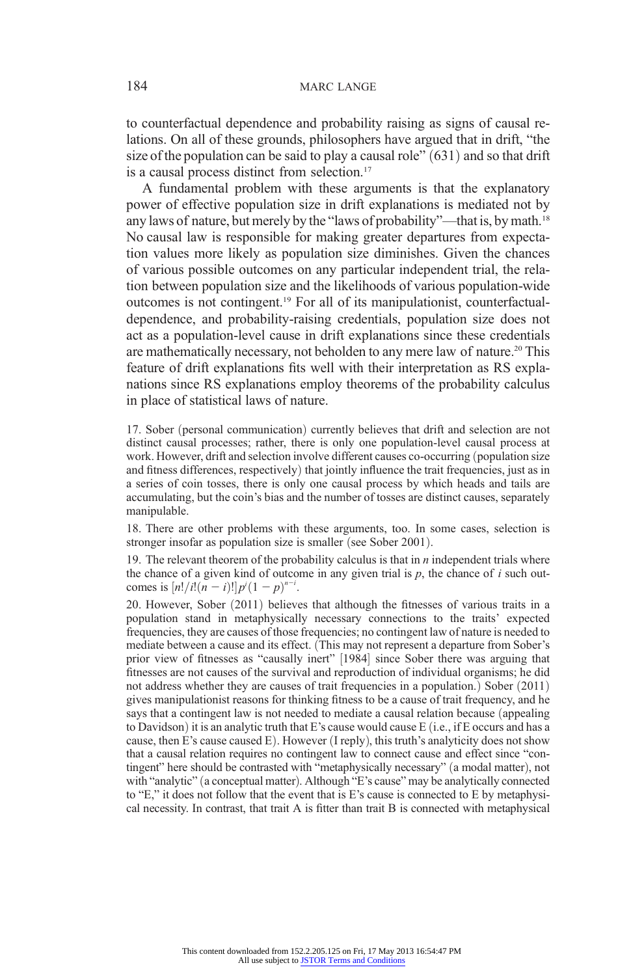to counterfactual dependence and probability raising as signs of causal relations. On all of these grounds, philosophers have argued that in drift, "the size of the population can be said to play a causal role"  $(631)$  and so that drift is a causal process distinct from selection.<sup>17</sup>

A fundamental problem with these arguments is that the explanatory power of effective population size in drift explanations is mediated not by any laws of nature, but merely by the "laws of probability"—that is, by math.<sup>18</sup> No causal law is responsible for making greater departures from expectation values more likely as population size diminishes. Given the chances of various possible outcomes on any particular independent trial, the relation between population size and the likelihoods of various population-wide outcomes is not contingent.19 For all of its manipulationist, counterfactualdependence, and probability-raising credentials, population size does not act as a population-level cause in drift explanations since these credentials are mathematically necessary, not beholden to any mere law of nature.20 This feature of drift explanations fits well with their interpretation as RS explanations since RS explanations employ theorems of the probability calculus in place of statistical laws of nature.

17. Sober (personal communication) currently believes that drift and selection are not distinct causal processes; rather, there is only one population-level causal process at work. However, drift and selection involve different causes co-occurring (population size and fitness differences, respectively) that jointly influence the trait frequencies, just as in a series of coin tosses, there is only one causal process by which heads and tails are accumulating, but the coin's bias and the number of tosses are distinct causes, separately manipulable.

18. There are other problems with these arguments, too. In some cases, selection is stronger insofar as population size is smaller (see Sober 2001).

19. The relevant theorem of the probability calculus is that in  $n$  independent trials where the chance of a given kind of outcome in any given trial is  $p$ , the chance of  $i$  such outcomes is  $[n!/i!(n-i)!]p^{i}(1-p)^{n-i}$ .

20. However, Sober (2011) believes that although the fitnesses of various traits in a population stand in metaphysically necessary connections to the traits' expected frequencies, they are causes of those frequencies; no contingent law of nature is needed to mediate between a cause and its effect. (This may not represent a departure from Sober's prior view of fitnesses as "causally inert" [1984] since Sober there was arguing that fitnesses are not causes of the survival and reproduction of individual organisms; he did not address whether they are causes of trait frequencies in a population.) Sober  $(2011)$ gives manipulationist reasons for thinking fitness to be a cause of trait frequency, and he says that a contingent law is not needed to mediate a causal relation because (appealing to Davidson) it is an analytic truth that E's cause would cause E (i.e., if E occurs and has a cause, then E's cause caused E). However  $(I \text{ reply})$ , this truth's analyticity does not show that a causal relation requires no contingent law to connect cause and effect since "contingent" here should be contrasted with "metaphysically necessary" (a modal matter), not with "analytic" (a conceptual matter). Although "E's cause" may be analytically connected to "E," it does not follow that the event that is E's cause is connected to E by metaphysical necessity. In contrast, that trait A is fitter than trait B is connected with metaphysical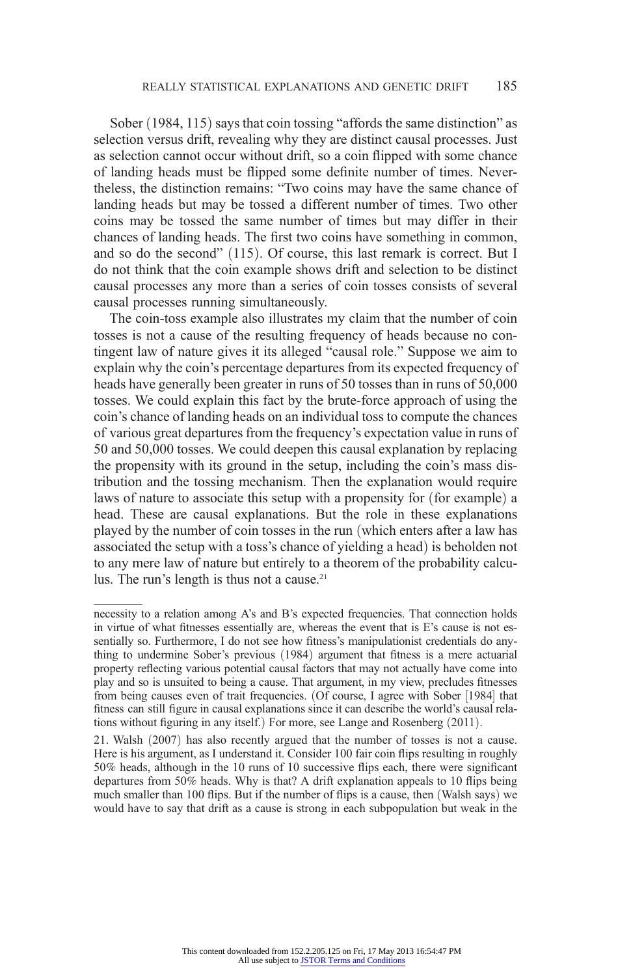Sober (1984, 115) says that coin tossing "affords the same distinction" as selection versus drift, revealing why they are distinct causal processes. Just as selection cannot occur without drift, so a coin flipped with some chance of landing heads must be flipped some definite number of times. Nevertheless, the distinction remains: "Two coins may have the same chance of landing heads but may be tossed a different number of times. Two other coins may be tossed the same number of times but may differ in their chances of landing heads. The first two coins have something in common, and so do the second"  $(115)$ . Of course, this last remark is correct. But I do not think that the coin example shows drift and selection to be distinct causal processes any more than a series of coin tosses consists of several causal processes running simultaneously.

The coin-toss example also illustrates my claim that the number of coin tosses is not a cause of the resulting frequency of heads because no contingent law of nature gives it its alleged "causal role." Suppose we aim to explain why the coin's percentage departures from its expected frequency of heads have generally been greater in runs of 50 tosses than in runs of 50,000 tosses. We could explain this fact by the brute-force approach of using the coin's chance of landing heads on an individual toss to compute the chances of various great departures from the frequency's expectation value in runs of 50 and 50,000 tosses. We could deepen this causal explanation by replacing the propensity with its ground in the setup, including the coin's mass distribution and the tossing mechanism. Then the explanation would require laws of nature to associate this setup with a propensity for (for example) a head. These are causal explanations. But the role in these explanations played by the number of coin tosses in the run (which enters after a law has associated the setup with a toss's chance of yielding a head) is beholden not to any mere law of nature but entirely to a theorem of the probability calculus. The run's length is thus not a cause. $21$ 

necessity to a relation among A's and B's expected frequencies. That connection holds in virtue of what fitnesses essentially are, whereas the event that is  $E$ 's cause is not essentially so. Furthermore, I do not see how fitness's manipulationist credentials do anything to undermine Sober's previous (1984) argument that fitness is a mere actuarial property reflecting various potential causal factors that may not actually have come into play and so is unsuited to being a cause. That argument, in my view, precludes fitnesses from being causes even of trait frequencies. (Of course, I agree with Sober [1984] that fitness can still figure in causal explanations since it can describe the world's causal relations without figuring in any itself.) For more, see Lange and Rosenberg (2011).

<sup>21.</sup> Walsh (2007) has also recently argued that the number of tosses is not a cause. Here is his argument, as I understand it. Consider 100 fair coin flips resulting in roughly 50% heads, although in the 10 runs of 10 successive flips each, there were significant departures from 50% heads. Why is that? A drift explanation appeals to 10 flips being much smaller than 100 flips. But if the number of flips is a cause, then (Walsh says) we would have to say that drift as a cause is strong in each subpopulation but weak in the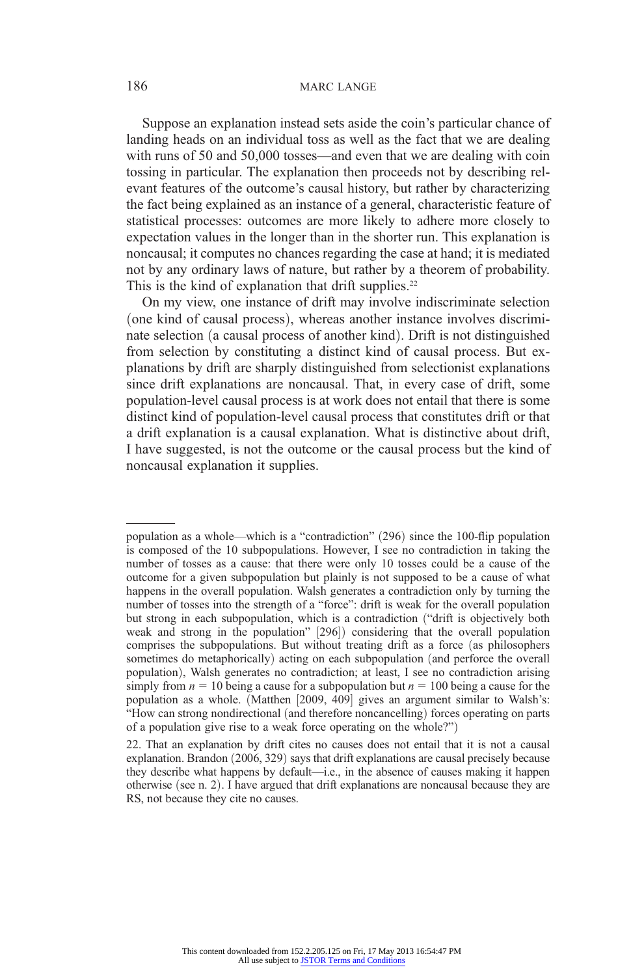## 186 MARC LANGE

Suppose an explanation instead sets aside the coin's particular chance of landing heads on an individual toss as well as the fact that we are dealing with runs of 50 and 50,000 tosses—and even that we are dealing with coin tossing in particular. The explanation then proceeds not by describing relevant features of the outcome's causal history, but rather by characterizing the fact being explained as an instance of a general, characteristic feature of statistical processes: outcomes are more likely to adhere more closely to expectation values in the longer than in the shorter run. This explanation is noncausal; it computes no chances regarding the case at hand; it is mediated not by any ordinary laws of nature, but rather by a theorem of probability. This is the kind of explanation that drift supplies. $22$ 

On my view, one instance of drift may involve indiscriminate selection  $\phi$  (one kind of causal process), whereas another instance involves discriminate selection (a causal process of another kind). Drift is not distinguished from selection by constituting a distinct kind of causal process. But explanations by drift are sharply distinguished from selectionist explanations since drift explanations are noncausal. That, in every case of drift, some population-level causal process is at work does not entail that there is some distinct kind of population-level causal process that constitutes drift or that a drift explanation is a causal explanation. What is distinctive about drift, I have suggested, is not the outcome or the causal process but the kind of noncausal explanation it supplies.

population as a whole—which is a "contradiction"  $(296)$  since the 100-flip population is composed of the 10 subpopulations. However, I see no contradiction in taking the number of tosses as a cause: that there were only 10 tosses could be a cause of the outcome for a given subpopulation but plainly is not supposed to be a cause of what happens in the overall population. Walsh generates a contradiction only by turning the number of tosses into the strength of a "force": drift is weak for the overall population but strong in each subpopulation, which is a contradiction ("drift is objectively both weak and strong in the population" [296]) considering that the overall population comprises the subpopulations. But without treating drift as a force (as philosophers sometimes do metaphorically) acting on each subpopulation (and perforce the overall population), Walsh generates no contradiction; at least, I see no contradiction arising simply from  $n = 10$  being a cause for a subpopulation but  $n = 100$  being a cause for the population as a whole. (Matthen [2009, 409] gives an argument similar to Walsh's: "How can strong nondirectional (and therefore noncancelling) forces operating on parts of a population give rise to a weak force operating on the whole?")

<sup>22.</sup> That an explanation by drift cites no causes does not entail that it is not a causal explanation. Brandon  $(2006, 329)$  says that drift explanations are causal precisely because they describe what happens by default—i.e., in the absence of causes making it happen otherwise (see n. 2). I have argued that drift explanations are noncausal because they are RS, not because they cite no causes.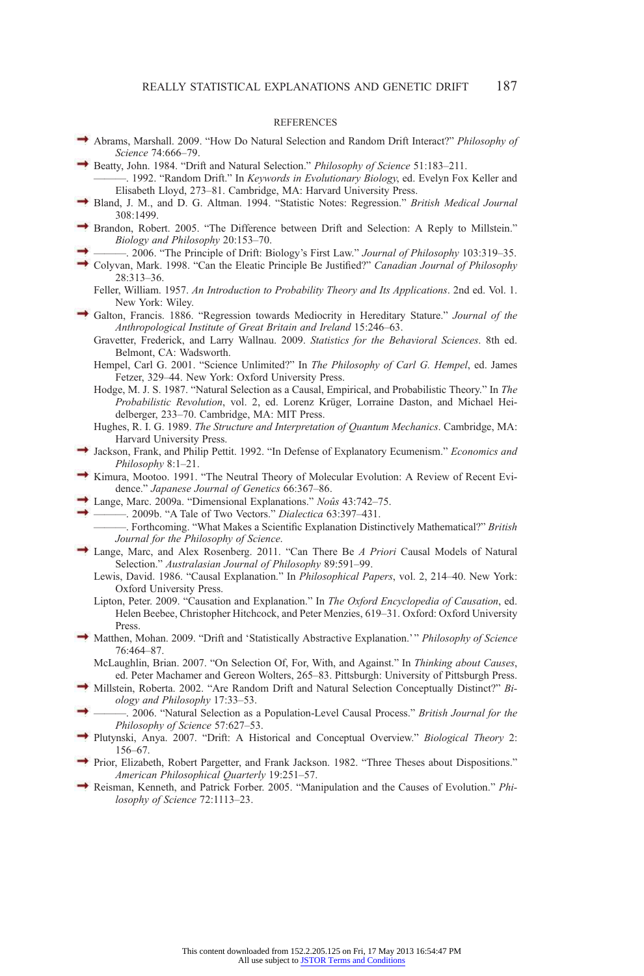## **REFERENCES**

- Abrams, Marshall. 2009. "How Do Natural Selection and Random Drift Interact?" Philosophy of Science 74:666-79.
	- Beatty, John. 1984. "Drift and Natural Selection." *Philosophy of Science* 51:183–211.
	- . 1992. "Random Drift." In Keywords in Evolutionary Biology, ed. Evelyn Fox Keller and Elisabeth Lloyd, 273–81. Cambridge, MA: Harvard University Press.
- Bland, J. M., and D. G. Altman. 1994. "Statistic Notes: Regression." British Medical Journal 308:1499.
- Brandon, Robert. 2005. "The Difference between Drift and Selection: A Reply to Millstein." Biology and Philosophy 20:153–70.
	- -. 2006. "The Principle of Drift: Biology's First Law." Journal of Philosophy 103:319-35.
- Colyvan, Mark. 1998. "Can the Eleatic Principle Be Justified?" Canadian Journal of Philosophy 28:313–36.
	- Feller, William. 1957. An Introduction to Probability Theory and Its Applications. 2nd ed. Vol. 1. New York: Wiley.
- Galton, Francis. 1886. "Regression towards Mediocrity in Hereditary Stature." Journal of the Anthropological Institute of Great Britain and Ireland 15:246–63.
	- Gravetter, Frederick, and Larry Wallnau. 2009. Statistics for the Behavioral Sciences. 8th ed. Belmont, CA: Wadsworth.
	- Hempel, Carl G. 2001. "Science Unlimited?" In The Philosophy of Carl G. Hempel, ed. James Fetzer, 329–44. New York: Oxford University Press.
	- Hodge, M. J. S. 1987. "Natural Selection as a Causal, Empirical, and Probabilistic Theory." In The Probabilistic Revolution, vol. 2, ed. Lorenz Krüger, Lorraine Daston, and Michael Heidelberger, 233–70. Cambridge, MA: MIT Press.
	- Hughes, R. I. G. 1989. The Structure and Interpretation of Quantum Mechanics. Cambridge, MA: Harvard University Press.
- I Jackson, Frank, and Philip Pettit. 1992. "In Defense of Explanatory Ecumenism." Economics and Philosophy 8:1–21.
- Kimura, Mootoo. 1991. "The Neutral Theory of Molecular Evolution: A Review of Recent Evidence." Japanese Journal of Genetics 66:367-86.
- Lange, Marc. 2009a. "Dimensional Explanations." Noûs 43:742–75.
- -. 2009b. "A Tale of Two Vectors." Dialectica 63:397-431.
	- -. Forthcoming. "What Makes a Scientific Explanation Distinctively Mathematical?" British Journal for the Philosophy of Science.
- Lange, Marc, and Alex Rosenberg. 2011. "Can There Be A Priori Causal Models of Natural Selection." Australasian Journal of Philosophy 89:591–99.
	- Lewis, David. 1986. "Causal Explanation." In Philosophical Papers, vol. 2, 214–40. New York: Oxford University Press.
	- Lipton, Peter. 2009. "Causation and Explanation." In The Oxford Encyclopedia of Causation, ed. Helen Beebee, Christopher Hitchcock, and Peter Menzies, 619–31. Oxford: Oxford University Press.
- Matthen, Mohan. 2009. "Drift and 'Statistically Abstractive Explanation." Philosophy of Science 76:464–87.
	- McLaughlin, Brian. 2007. "On Selection Of, For, With, and Against." In Thinking about Causes, ed. Peter Machamer and Gereon Wolters, 265–83. Pittsburgh: University of Pittsburgh Press.
- Millstein, Roberta. 2002. "Are Random Drift and Natural Selection Conceptually Distinct?" Biology and Philosophy 17:33–53.
- . 2006. "Natural Selection as a Population-Level Causal Process." British Journal for the Philosophy of Science 57:627–53.
- Plutynski, Anya. 2007. "Drift: A Historical and Conceptual Overview." Biological Theory 2: 156–67.
- Prior, Elizabeth, Robert Pargetter, and Frank Jackson. 1982. "Three Theses about Dispositions." American Philosophical Quarterly 19:251–57.
- Reisman, Kenneth, and Patrick Forber. 2005. "Manipulation and the Causes of Evolution." *Phi*losophy of Science 72:1113–23.